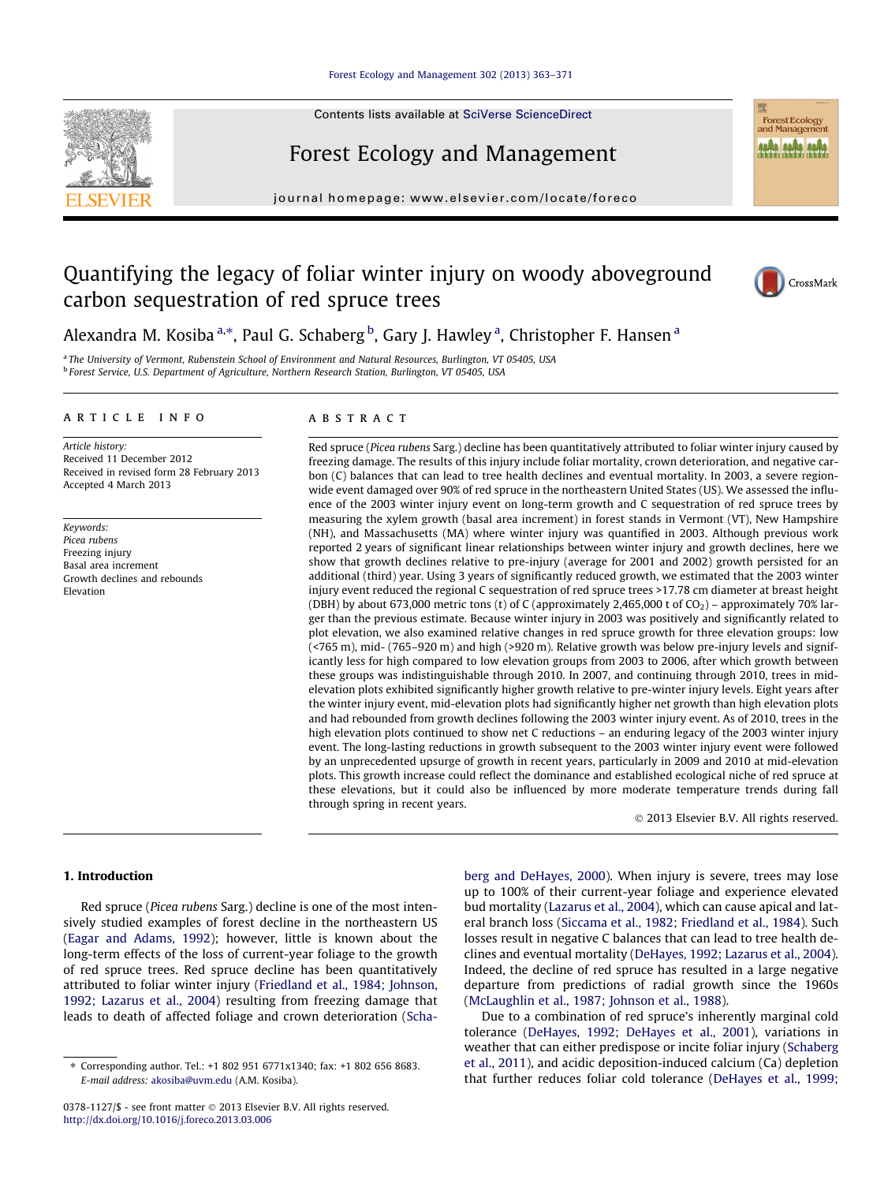## [Forest Ecology and Management 302 \(2013\) 363–371](http://dx.doi.org/10.1016/j.foreco.2013.03.006)

Contents lists available at [SciVerse ScienceDirect](http://www.sciencedirect.com/science/journal/03781127)

# Forest Ecology and Management

journal homepage: [www.elsevier.com/locate/foreco](http://www.elsevier.com/locate/foreco)

# Quantifying the legacy of foliar winter injury on woody aboveground carbon sequestration of red spruce trees



Forest Ecology<br>and Management **ALÂA ALÂA ALÂA** 

Alexandra M. Kosiba <sup>a,\*</sup>, Paul G. Schaberg <sup>b</sup>, Gary J. Hawley <sup>a</sup>, Christopher F. Hansen <sup>a</sup>

<sup>a</sup> The University of Vermont, Rubenstein School of Environment and Natural Resources, Burlington, VT 05405, USA <sup>b</sup> Forest Service, U.S. Department of Agriculture, Northern Research Station, Burlington, VT 05405, USA

#### article info

Article history: Received 11 December 2012 Received in revised form 28 February 2013 Accepted 4 March 2013

Keywords: Picea rubens Freezing injury Basal area increment Growth declines and rebounds Elevation

## **ABSTRACT**

Red spruce (Picea rubens Sarg.) decline has been quantitatively attributed to foliar winter injury caused by freezing damage. The results of this injury include foliar mortality, crown deterioration, and negative carbon (C) balances that can lead to tree health declines and eventual mortality. In 2003, a severe regionwide event damaged over 90% of red spruce in the northeastern United States (US). We assessed the influence of the 2003 winter injury event on long-term growth and C sequestration of red spruce trees by measuring the xylem growth (basal area increment) in forest stands in Vermont (VT), New Hampshire (NH), and Massachusetts (MA) where winter injury was quantified in 2003. Although previous work reported 2 years of significant linear relationships between winter injury and growth declines, here we show that growth declines relative to pre-injury (average for 2001 and 2002) growth persisted for an additional (third) year. Using 3 years of significantly reduced growth, we estimated that the 2003 winter injury event reduced the regional C sequestration of red spruce trees >17.78 cm diameter at breast height (DBH) by about 673,000 metric tons (t) of C (approximately 2,465,000 t of  $CO<sub>2</sub>$ ) – approximately 70% larger than the previous estimate. Because winter injury in 2003 was positively and significantly related to plot elevation, we also examined relative changes in red spruce growth for three elevation groups: low (<765 m), mid- (765–920 m) and high (>920 m). Relative growth was below pre-injury levels and significantly less for high compared to low elevation groups from 2003 to 2006, after which growth between these groups was indistinguishable through 2010. In 2007, and continuing through 2010, trees in midelevation plots exhibited significantly higher growth relative to pre-winter injury levels. Eight years after the winter injury event, mid-elevation plots had significantly higher net growth than high elevation plots and had rebounded from growth declines following the 2003 winter injury event. As of 2010, trees in the high elevation plots continued to show net C reductions – an enduring legacy of the 2003 winter injury event. The long-lasting reductions in growth subsequent to the 2003 winter injury event were followed by an unprecedented upsurge of growth in recent years, particularly in 2009 and 2010 at mid-elevation plots. This growth increase could reflect the dominance and established ecological niche of red spruce at these elevations, but it could also be influenced by more moderate temperature trends during fall through spring in recent years.

- 2013 Elsevier B.V. All rights reserved.

## 1. Introduction

Red spruce (Picea rubens Sarg.) decline is one of the most intensively studied examples of forest decline in the northeastern US ([Eagar and Adams, 1992](#page-8-0)); however, little is known about the long-term effects of the loss of current-year foliage to the growth of red spruce trees. Red spruce decline has been quantitatively attributed to foliar winter injury ([Friedland et al., 1984; Johnson,](#page-8-0) [1992; Lazarus et al., 2004\)](#page-8-0) resulting from freezing damage that leads to death of affected foliage and crown deterioration ([Scha-](#page-8-0) [berg and DeHayes, 2000](#page-8-0)). When injury is severe, trees may lose up to 100% of their current-year foliage and experience elevated bud mortality [\(Lazarus et al., 2004](#page-8-0)), which can cause apical and lateral branch loss ([Siccama et al., 1982; Friedland et al., 1984](#page-8-0)). Such losses result in negative C balances that can lead to tree health declines and eventual mortality ([DeHayes, 1992; Lazarus et al., 2004\)](#page-7-0). Indeed, the decline of red spruce has resulted in a large negative departure from predictions of radial growth since the 1960s ([McLaughlin et al., 1987; Johnson et al., 1988](#page-8-0)).

Due to a combination of red spruce's inherently marginal cold tolerance [\(DeHayes, 1992; DeHayes et al., 2001\)](#page-7-0), variations in weather that can either predispose or incite foliar injury [\(Schaberg](#page-8-0) [et al., 2011](#page-8-0)), and acidic deposition-induced calcium (Ca) depletion that further reduces foliar cold tolerance ([DeHayes et al., 1999;](#page-8-0)

<sup>⇑</sup> Corresponding author. Tel.: +1 802 951 6771x1340; fax: +1 802 656 8683. E-mail address: [akosiba@uvm.edu](mailto:akosiba@uvm.edu) (A.M. Kosiba).

<sup>0378-1127/\$ -</sup> see front matter © 2013 Elsevier B.V. All rights reserved. <http://dx.doi.org/10.1016/j.foreco.2013.03.006>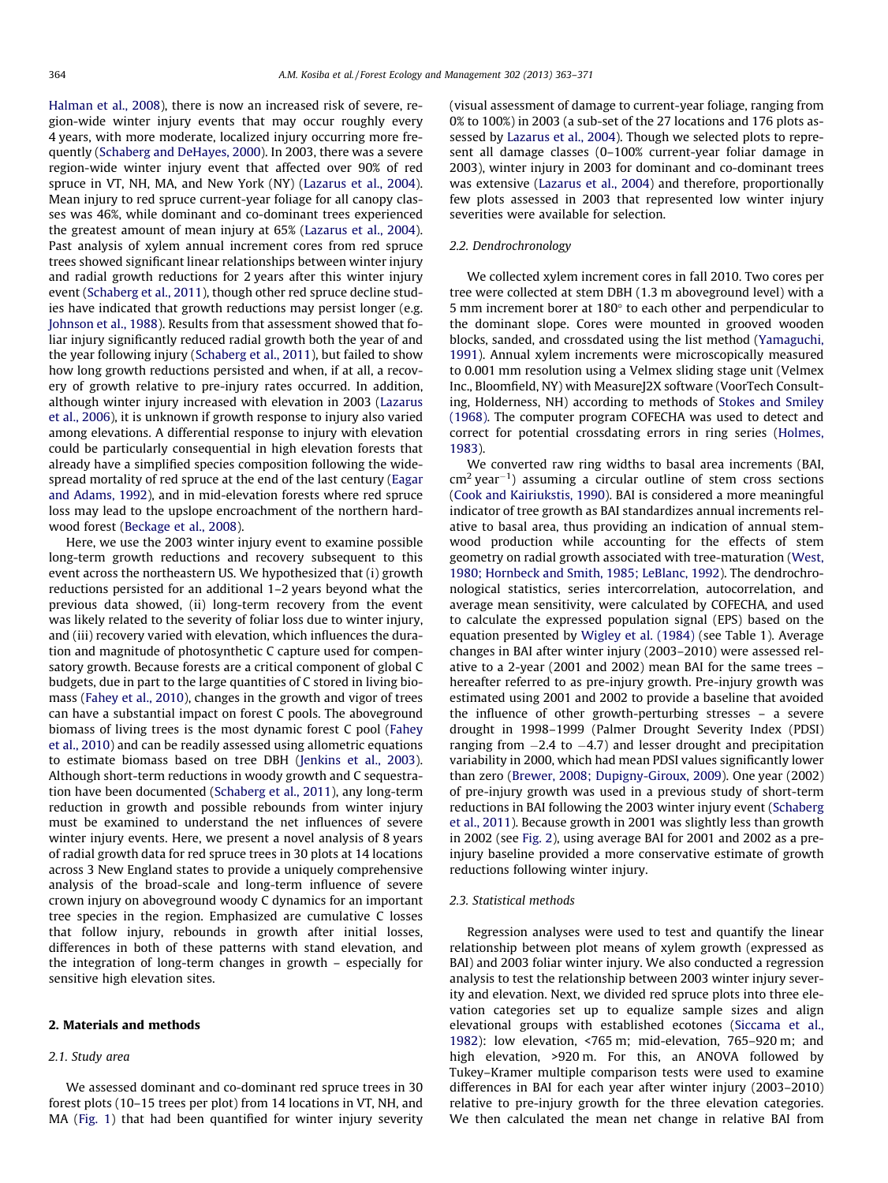[Halman et al., 2008\)](#page-8-0), there is now an increased risk of severe, region-wide winter injury events that may occur roughly every 4 years, with more moderate, localized injury occurring more frequently ([Schaberg and DeHayes, 2000\)](#page-8-0). In 2003, there was a severe region-wide winter injury event that affected over 90% of red spruce in VT, NH, MA, and New York (NY) ([Lazarus et al., 2004\)](#page-8-0). Mean injury to red spruce current-year foliage for all canopy classes was 46%, while dominant and co-dominant trees experienced the greatest amount of mean injury at 65% [\(Lazarus et al., 2004\)](#page-8-0). Past analysis of xylem annual increment cores from red spruce trees showed significant linear relationships between winter injury and radial growth reductions for 2 years after this winter injury event ([Schaberg et al., 2011\)](#page-8-0), though other red spruce decline studies have indicated that growth reductions may persist longer (e.g. [Johnson et al., 1988\)](#page-8-0). Results from that assessment showed that foliar injury significantly reduced radial growth both the year of and the year following injury [\(Schaberg et al., 2011\)](#page-8-0), but failed to show how long growth reductions persisted and when, if at all, a recovery of growth relative to pre-injury rates occurred. In addition, although winter injury increased with elevation in 2003 [\(Lazarus](#page-8-0) [et al., 2006\)](#page-8-0), it is unknown if growth response to injury also varied among elevations. A differential response to injury with elevation could be particularly consequential in high elevation forests that already have a simplified species composition following the widespread mortality of red spruce at the end of the last century ([Eagar](#page-8-0) [and Adams, 1992\)](#page-8-0), and in mid-elevation forests where red spruce loss may lead to the upslope encroachment of the northern hardwood forest ([Beckage et al., 2008\)](#page-7-0).

Here, we use the 2003 winter injury event to examine possible long-term growth reductions and recovery subsequent to this event across the northeastern US. We hypothesized that (i) growth reductions persisted for an additional 1–2 years beyond what the previous data showed, (ii) long-term recovery from the event was likely related to the severity of foliar loss due to winter injury, and (iii) recovery varied with elevation, which influences the duration and magnitude of photosynthetic C capture used for compensatory growth. Because forests are a critical component of global C budgets, due in part to the large quantities of C stored in living biomass [\(Fahey et al., 2010](#page-8-0)), changes in the growth and vigor of trees can have a substantial impact on forest C pools. The aboveground biomass of living trees is the most dynamic forest C pool ([Fahey](#page-8-0) [et al., 2010\)](#page-8-0) and can be readily assessed using allometric equations to estimate biomass based on tree DBH [\(Jenkins et al., 2003\)](#page-8-0). Although short-term reductions in woody growth and C sequestration have been documented [\(Schaberg et al., 2011](#page-8-0)), any long-term reduction in growth and possible rebounds from winter injury must be examined to understand the net influences of severe winter injury events. Here, we present a novel analysis of 8 years of radial growth data for red spruce trees in 30 plots at 14 locations across 3 New England states to provide a uniquely comprehensive analysis of the broad-scale and long-term influence of severe crown injury on aboveground woody C dynamics for an important tree species in the region. Emphasized are cumulative C losses that follow injury, rebounds in growth after initial losses, differences in both of these patterns with stand elevation, and the integration of long-term changes in growth – especially for sensitive high elevation sites.

### 2. Materials and methods

### 2.1. Study area

We assessed dominant and co-dominant red spruce trees in 30 forest plots (10–15 trees per plot) from 14 locations in VT, NH, and MA ([Fig. 1\)](#page-2-0) that had been quantified for winter injury severity (visual assessment of damage to current-year foliage, ranging from 0% to 100%) in 2003 (a sub-set of the 27 locations and 176 plots assessed by [Lazarus et al., 2004](#page-8-0)). Though we selected plots to represent all damage classes (0–100% current-year foliar damage in 2003), winter injury in 2003 for dominant and co-dominant trees was extensive [\(Lazarus et al., 2004\)](#page-8-0) and therefore, proportionally few plots assessed in 2003 that represented low winter injury severities were available for selection.

## 2.2. Dendrochronology

We collected xylem increment cores in fall 2010. Two cores per tree were collected at stem DBH (1.3 m aboveground level) with a 5 mm increment borer at  $180^\circ$  to each other and perpendicular to the dominant slope. Cores were mounted in grooved wooden blocks, sanded, and crossdated using the list method [\(Yamaguchi,](#page-8-0) [1991\)](#page-8-0). Annual xylem increments were microscopically measured to 0.001 mm resolution using a Velmex sliding stage unit (Velmex Inc., Bloomfield, NY) with MeasureJ2X software (VoorTech Consulting, Holderness, NH) according to methods of [Stokes and Smiley](#page-8-0) [\(1968\).](#page-8-0) The computer program COFECHA was used to detect and correct for potential crossdating errors in ring series [\(Holmes,](#page-8-0) [1983\)](#page-8-0).

We converted raw ring widths to basal area increments (BAI,  $\text{cm}^2$  year<sup>-1</sup>) assuming a circular outline of stem cross sections ([Cook and Kairiukstis, 1990\)](#page-7-0). BAI is considered a more meaningful indicator of tree growth as BAI standardizes annual increments relative to basal area, thus providing an indication of annual stemwood production while accounting for the effects of stem geometry on radial growth associated with tree-maturation [\(West,](#page-8-0) [1980; Hornbeck and Smith, 1985; LeBlanc, 1992\)](#page-8-0). The dendrochronological statistics, series intercorrelation, autocorrelation, and average mean sensitivity, were calculated by COFECHA, and used to calculate the expressed population signal (EPS) based on the equation presented by [Wigley et al. \(1984\)](#page-8-0) (see Table 1). Average changes in BAI after winter injury (2003–2010) were assessed relative to a 2-year (2001 and 2002) mean BAI for the same trees – hereafter referred to as pre-injury growth. Pre-injury growth was estimated using 2001 and 2002 to provide a baseline that avoided the influence of other growth-perturbing stresses – a severe drought in 1998–1999 (Palmer Drought Severity Index (PDSI) ranging from  $-2.4$  to  $-4.7$ ) and lesser drought and precipitation variability in 2000, which had mean PDSI values significantly lower than zero ([Brewer, 2008; Dupigny-Giroux, 2009](#page-7-0)). One year (2002) of pre-injury growth was used in a previous study of short-term reductions in BAI following the 2003 winter injury event ([Schaberg](#page-8-0) [et al., 2011\)](#page-8-0). Because growth in 2001 was slightly less than growth in 2002 (see [Fig. 2\)](#page-2-0), using average BAI for 2001 and 2002 as a preinjury baseline provided a more conservative estimate of growth reductions following winter injury.

#### 2.3. Statistical methods

Regression analyses were used to test and quantify the linear relationship between plot means of xylem growth (expressed as BAI) and 2003 foliar winter injury. We also conducted a regression analysis to test the relationship between 2003 winter injury severity and elevation. Next, we divided red spruce plots into three elevation categories set up to equalize sample sizes and align elevational groups with established ecotones [\(Siccama et al.,](#page-8-0) [1982\)](#page-8-0): low elevation, <765 m; mid-elevation, 765–920 m; and high elevation, >920 m. For this, an ANOVA followed by Tukey–Kramer multiple comparison tests were used to examine differences in BAI for each year after winter injury (2003–2010) relative to pre-injury growth for the three elevation categories. We then calculated the mean net change in relative BAI from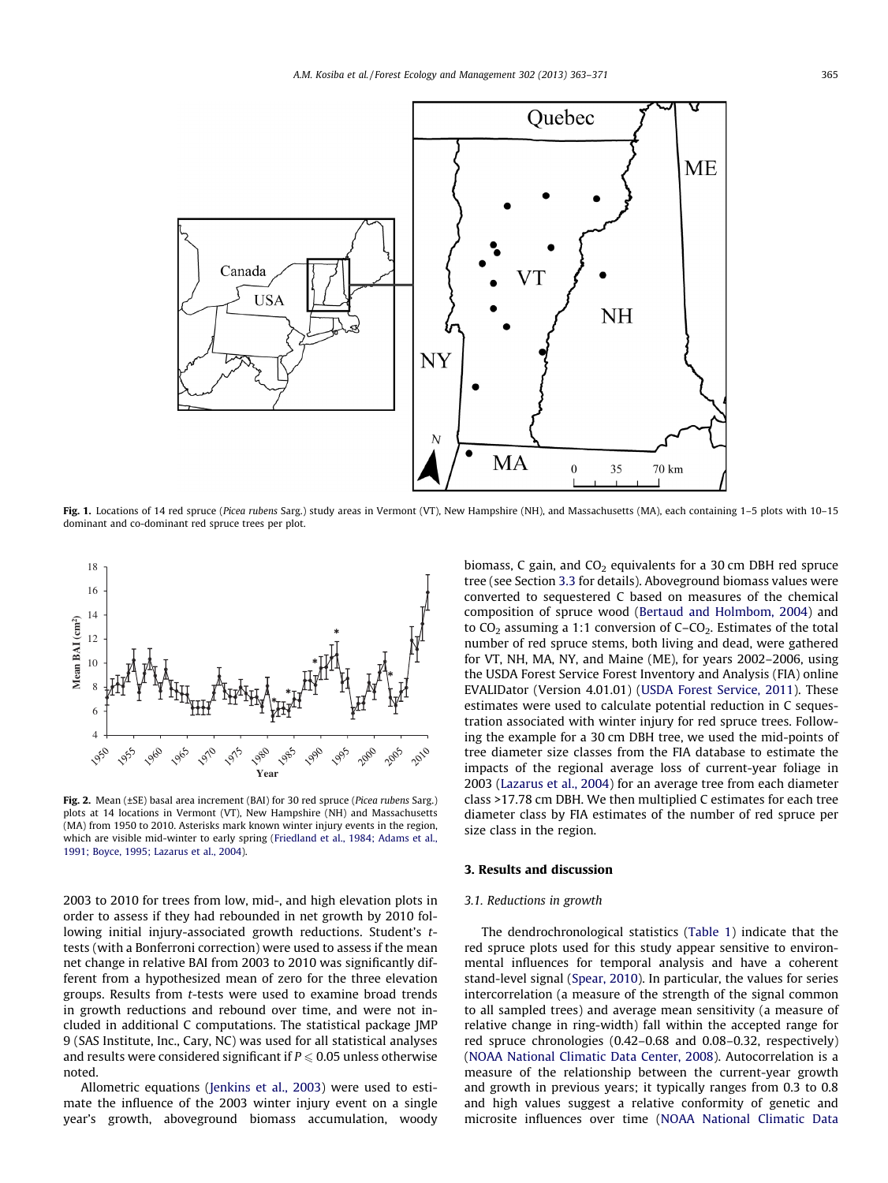<span id="page-2-0"></span>

Fig. 1. Locations of 14 red spruce (Picea rubens Sarg.) study areas in Vermont (VT), New Hampshire (NH), and Massachusetts (MA), each containing 1-5 plots with 10-15 dominant and co-dominant red spruce trees per plot.



Fig. 2. Mean (±SE) basal area increment (BAI) for 30 red spruce (Picea rubens Sarg.) plots at 14 locations in Vermont (VT), New Hampshire (NH) and Massachusetts (MA) from 1950 to 2010. Asterisks mark known winter injury events in the region, which are visible mid-winter to early spring [\(Friedland et al., 1984; Adams et al.,](#page-8-0) [1991; Boyce, 1995; Lazarus et al., 2004](#page-8-0)).

2003 to 2010 for trees from low, mid-, and high elevation plots in order to assess if they had rebounded in net growth by 2010 following initial injury-associated growth reductions. Student's ttests (with a Bonferroni correction) were used to assess if the mean net change in relative BAI from 2003 to 2010 was significantly different from a hypothesized mean of zero for the three elevation groups. Results from t-tests were used to examine broad trends in growth reductions and rebound over time, and were not included in additional C computations. The statistical package JMP 9 (SAS Institute, Inc., Cary, NC) was used for all statistical analyses and results were considered significant if  $P \le 0.05$  unless otherwise noted.

Allometric equations ([Jenkins et al., 2003](#page-8-0)) were used to estimate the influence of the 2003 winter injury event on a single year's growth, aboveground biomass accumulation, woody biomass, C gain, and  $CO<sub>2</sub>$  equivalents for a 30 cm DBH red spruce tree (see Section [3.3](#page-6-0) for details). Aboveground biomass values were converted to sequestered C based on measures of the chemical composition of spruce wood ([Bertaud and Holmbom, 2004\)](#page-7-0) and to  $CO<sub>2</sub>$  assuming a 1:1 conversion of C–CO<sub>2</sub>. Estimates of the total number of red spruce stems, both living and dead, were gathered for VT, NH, MA, NY, and Maine (ME), for years 2002–2006, using the USDA Forest Service Forest Inventory and Analysis (FIA) online EVALIDator (Version 4.01.01) [\(USDA Forest Service, 2011\)](#page-8-0). These estimates were used to calculate potential reduction in C sequestration associated with winter injury for red spruce trees. Following the example for a 30 cm DBH tree, we used the mid-points of tree diameter size classes from the FIA database to estimate the impacts of the regional average loss of current-year foliage in 2003 ([Lazarus et al., 2004\)](#page-8-0) for an average tree from each diameter class >17.78 cm DBH. We then multiplied C estimates for each tree diameter class by FIA estimates of the number of red spruce per size class in the region.

#### 3. Results and discussion

#### 3.1. Reductions in growth

The dendrochronological statistics [\(Table 1\)](#page-3-0) indicate that the red spruce plots used for this study appear sensitive to environmental influences for temporal analysis and have a coherent stand-level signal ([Spear, 2010\)](#page-8-0). In particular, the values for series intercorrelation (a measure of the strength of the signal common to all sampled trees) and average mean sensitivity (a measure of relative change in ring-width) fall within the accepted range for red spruce chronologies (0.42–0.68 and 0.08–0.32, respectively) ([NOAA National Climatic Data Center, 2008\)](#page-8-0). Autocorrelation is a measure of the relationship between the current-year growth and growth in previous years; it typically ranges from 0.3 to 0.8 and high values suggest a relative conformity of genetic and microsite influences over time [\(NOAA National Climatic Data](#page-8-0)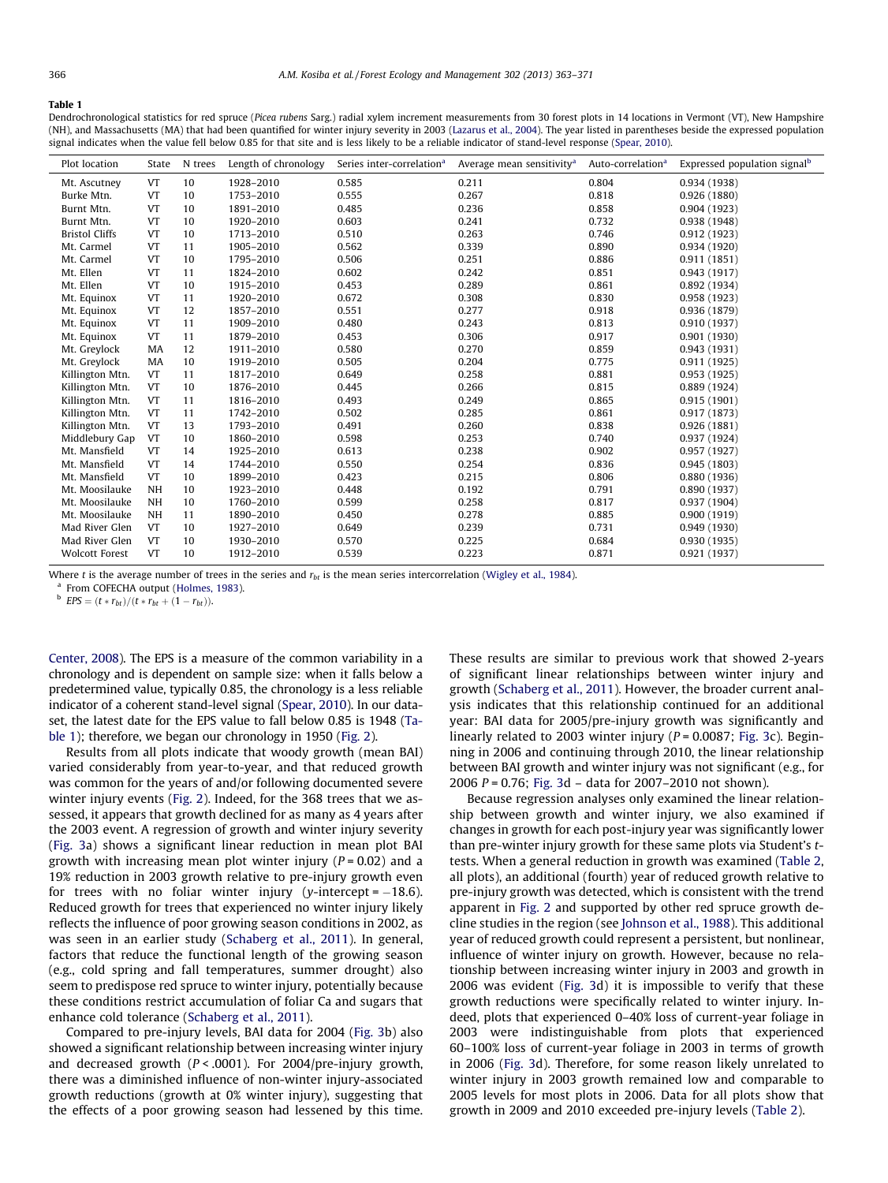#### <span id="page-3-0"></span>Table 1

Dendrochronological statistics for red spruce (Picea rubens Sarg.) radial xylem increment measurements from 30 forest plots in 14 locations in Vermont (VT), New Hampshire (NH), and Massachusetts (MA) that had been quantified for winter injury severity in 2003 ([Lazarus et al., 2004](#page-8-0)). The year listed in parentheses beside the expressed population signal indicates when the value fell below 0.85 for that site and is less likely to be a reliable indicator of stand-level response ([Spear, 2010](#page-8-0)).

| Plot location         | State     | N trees | Length of chronology | Series inter-correlation <sup>a</sup> | Average mean sensitivity <sup>a</sup> | Auto-correlation <sup>a</sup> | Expressed population signal <sup>b</sup> |
|-----------------------|-----------|---------|----------------------|---------------------------------------|---------------------------------------|-------------------------------|------------------------------------------|
| Mt. Ascutney          | VT        | 10      | 1928-2010            | 0.585                                 | 0.211                                 | 0.804                         | 0.934(1938)                              |
| Burke Mtn.            | VT        | 10      | 1753-2010            | 0.555                                 | 0.267                                 | 0.818                         | 0.926(1880)                              |
| Burnt Mtn.            | VT        | 10      | 1891-2010            | 0.485                                 | 0.236                                 | 0.858                         | 0.904(1923)                              |
| Burnt Mtn.            | VT        | 10      | 1920-2010            | 0.603                                 | 0.241                                 | 0.732                         | 0.938(1948)                              |
| <b>Bristol Cliffs</b> | VT        | 10      | 1713-2010            | 0.510                                 | 0.263                                 | 0.746                         | 0.912(1923)                              |
| Mt. Carmel            | VT        | 11      | 1905-2010            | 0.562                                 | 0.339                                 | 0.890                         | 0.934(1920)                              |
| Mt. Carmel            | VT        | 10      | 1795-2010            | 0.506                                 | 0.251                                 | 0.886                         | 0.911(1851)                              |
| Mt. Ellen             | VT        | 11      | 1824-2010            | 0.602                                 | 0.242                                 | 0.851                         | 0.943(1917)                              |
| Mt. Ellen             | VT        | 10      | 1915-2010            | 0.453                                 | 0.289                                 | 0.861                         | 0.892(1934)                              |
| Mt. Equinox           | VT        | 11      | 1920-2010            | 0.672                                 | 0.308                                 | 0.830                         | 0.958(1923)                              |
| Mt. Equinox           | VT        | 12      | 1857-2010            | 0.551                                 | 0.277                                 | 0.918                         | 0.936(1879)                              |
| Mt. Equinox           | VT        | 11      | 1909-2010            | 0.480                                 | 0.243                                 | 0.813                         | 0.910(1937)                              |
| Mt. Equinox           | VT        | 11      | 1879-2010            | 0.453                                 | 0.306                                 | 0.917                         | 0.901(1930)                              |
| Mt. Greylock          | MA        | 12      | 1911-2010            | 0.580                                 | 0.270                                 | 0.859                         | 0.943(1931)                              |
| Mt. Greylock          | MA        | 10      | 1919-2010            | 0.505                                 | 0.204                                 | 0.775                         | 0.911(1925)                              |
| Killington Mtn.       | VT        | 11      | 1817-2010            | 0.649                                 | 0.258                                 | 0.881                         | 0.953(1925)                              |
| Killington Mtn.       | VT        | 10      | 1876-2010            | 0.445                                 | 0.266                                 | 0.815                         | 0.889 (1924)                             |
| Killington Mtn.       | VT        | 11      | 1816-2010            | 0.493                                 | 0.249                                 | 0.865                         | 0.915(1901)                              |
| Killington Mtn.       | VT        | 11      | 1742-2010            | 0.502                                 | 0.285                                 | 0.861                         | 0.917(1873)                              |
| Killington Mtn.       | <b>VT</b> | 13      | 1793-2010            | 0.491                                 | 0.260                                 | 0.838                         | 0.926(1881)                              |
| Middlebury Gap        | <b>VT</b> | 10      | 1860-2010            | 0.598                                 | 0.253                                 | 0.740                         | 0.937 (1924)                             |
| Mt. Mansfield         | VT        | 14      | 1925-2010            | 0.613                                 | 0.238                                 | 0.902                         | 0.957(1927)                              |
| Mt. Mansfield         | VT        | 14      | 1744-2010            | 0.550                                 | 0.254                                 | 0.836                         | 0.945(1803)                              |
| Mt. Mansfield         | VT        | 10      | 1899-2010            | 0.423                                 | 0.215                                 | 0.806                         | 0.880(1936)                              |
| Mt. Moosilauke        | <b>NH</b> | 10      | 1923-2010            | 0.448                                 | 0.192                                 | 0.791                         | 0.890(1937)                              |
| Mt. Moosilauke        | <b>NH</b> | 10      | 1760-2010            | 0.599                                 | 0.258                                 | 0.817                         | 0.937(1904)                              |
| Mt. Moosilauke        | <b>NH</b> | 11      | 1890-2010            | 0.450                                 | 0.278                                 | 0.885                         | 0.900(1919)                              |
| Mad River Glen        | <b>VT</b> | 10      | 1927-2010            | 0.649                                 | 0.239                                 | 0.731                         | 0.949(1930)                              |
| Mad River Glen        | VT        | 10      | 1930-2010            | 0.570                                 | 0.225                                 | 0.684                         | 0.930(1935)                              |
| <b>Wolcott Forest</b> | VT        | 10      | 1912-2010            | 0.539                                 | 0.223                                 | 0.871                         | 0.921(1937)                              |

Where *t* is the average number of trees in the series and  $r_{bt}$  is the mean series intercorrelation [\(Wigley et al., 1984](#page-8-0)). <sup>a</sup> From COFECHA output [\(Holmes, 1983](#page-8-0)).

 $^{b}$  EPS =  $(t * r_{bt})/(t * r_{bt} + (1 - r_{bt}))$ .

[Center, 2008\)](#page-8-0). The EPS is a measure of the common variability in a chronology and is dependent on sample size: when it falls below a predetermined value, typically 0.85, the chronology is a less reliable indicator of a coherent stand-level signal [\(Spear, 2010](#page-8-0)). In our dataset, the latest date for the EPS value to fall below 0.85 is 1948 (Table 1); therefore, we began our chronology in 1950 ([Fig. 2\)](#page-2-0).

Results from all plots indicate that woody growth (mean BAI) varied considerably from year-to-year, and that reduced growth was common for the years of and/or following documented severe winter injury events ([Fig. 2](#page-2-0)). Indeed, for the 368 trees that we assessed, it appears that growth declined for as many as 4 years after the 2003 event. A regression of growth and winter injury severity ([Fig. 3a](#page-4-0)) shows a significant linear reduction in mean plot BAI growth with increasing mean plot winter injury ( $P = 0.02$ ) and a 19% reduction in 2003 growth relative to pre-injury growth even for trees with no foliar winter injury (y-intercept= $-18.6$ ). Reduced growth for trees that experienced no winter injury likely reflects the influence of poor growing season conditions in 2002, as was seen in an earlier study ([Schaberg et al., 2011](#page-8-0)). In general, factors that reduce the functional length of the growing season (e.g., cold spring and fall temperatures, summer drought) also seem to predispose red spruce to winter injury, potentially because these conditions restrict accumulation of foliar Ca and sugars that enhance cold tolerance [\(Schaberg et al., 2011](#page-8-0)).

Compared to pre-injury levels, BAI data for 2004 [\(Fig. 3](#page-4-0)b) also showed a significant relationship between increasing winter injury and decreased growth ( $P < .0001$ ). For 2004/pre-injury growth, there was a diminished influence of non-winter injury-associated growth reductions (growth at 0% winter injury), suggesting that the effects of a poor growing season had lessened by this time.

These results are similar to previous work that showed 2-years of significant linear relationships between winter injury and growth [\(Schaberg et al., 2011](#page-8-0)). However, the broader current analysis indicates that this relationship continued for an additional year: BAI data for 2005/pre-injury growth was significantly and linearly related to 2003 winter injury ( $P = 0.0087$ ; [Fig. 3c](#page-4-0)). Beginning in 2006 and continuing through 2010, the linear relationship between BAI growth and winter injury was not significant (e.g., for 2006 P = 0.76; [Fig. 3](#page-4-0)d – data for 2007–2010 not shown).

Because regression analyses only examined the linear relationship between growth and winter injury, we also examined if changes in growth for each post-injury year was significantly lower than pre-winter injury growth for these same plots via Student's ttests. When a general reduction in growth was examined [\(Table 2,](#page-4-0) all plots), an additional (fourth) year of reduced growth relative to pre-injury growth was detected, which is consistent with the trend apparent in [Fig. 2](#page-2-0) and supported by other red spruce growth decline studies in the region (see [Johnson et al., 1988](#page-8-0)). This additional year of reduced growth could represent a persistent, but nonlinear, influence of winter injury on growth. However, because no relationship between increasing winter injury in 2003 and growth in 2006 was evident ([Fig. 3](#page-4-0)d) it is impossible to verify that these growth reductions were specifically related to winter injury. Indeed, plots that experienced 0–40% loss of current-year foliage in 2003 were indistinguishable from plots that experienced 60–100% loss of current-year foliage in 2003 in terms of growth in 2006 [\(Fig. 3d](#page-4-0)). Therefore, for some reason likely unrelated to winter injury in 2003 growth remained low and comparable to 2005 levels for most plots in 2006. Data for all plots show that growth in 2009 and 2010 exceeded pre-injury levels ([Table 2](#page-4-0)).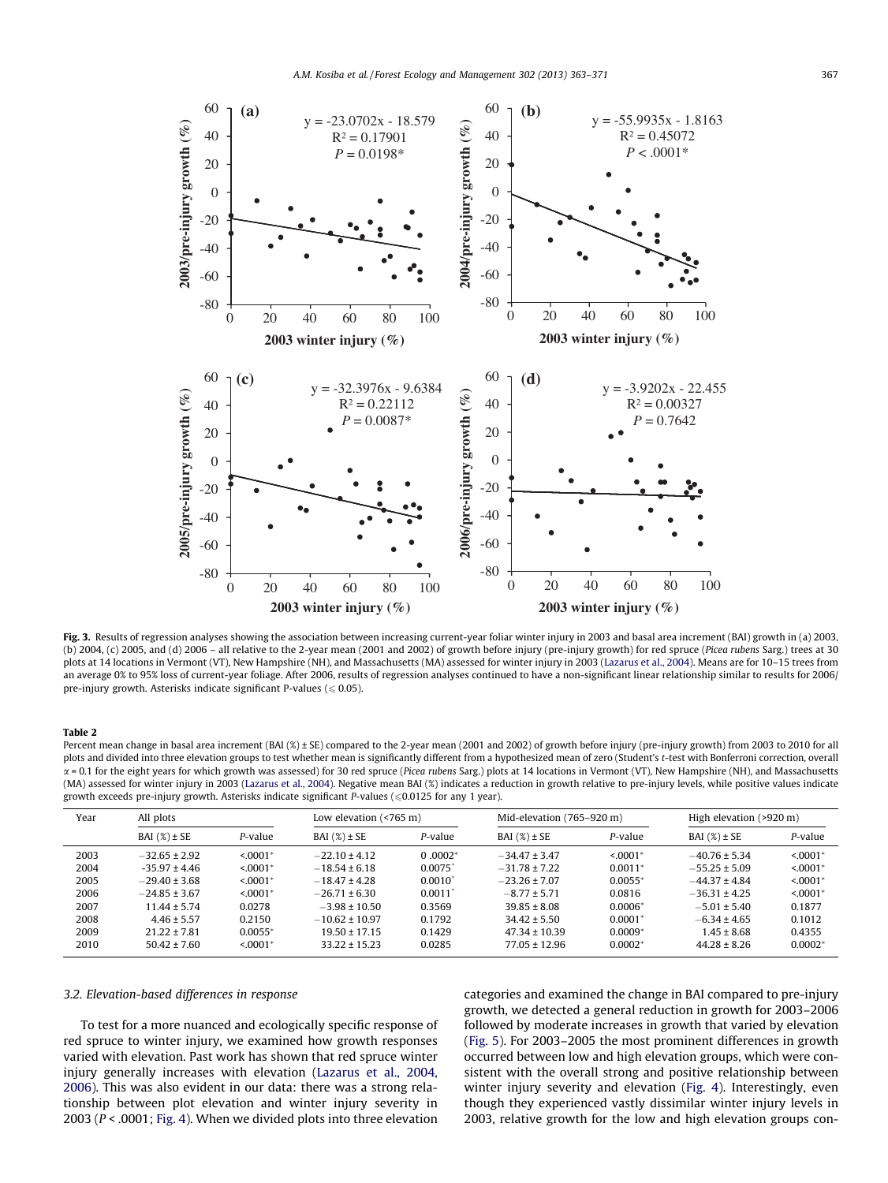<span id="page-4-0"></span>

Fig. 3. Results of regression analyses showing the association between increasing current-year foliar winter injury in 2003 and basal area increment (BAI) growth in (a) 2003, (b) 2004, (c) 2005, and (d) 2006 – all relative to the 2-year mean (2001 and 2002) of growth before injury (pre-injury growth) for red spruce (Picea rubens Sarg.) trees at 30 plots at 14 locations in Vermont (VT), New Hampshire (NH), and Massachusetts (MA) assessed for winter injury in 2003 [\(Lazarus et al., 2004\)](#page-8-0). Means are for 10-15 trees from an average 0% to 95% loss of current-year foliage. After 2006, results of regression analyses continued to have a non-significant linear relationship similar to results for 2006/ pre-injury growth. Asterisks indicate significant P-values ( $\leq 0.05$ ).

#### Table 2

Percent mean change in basal area increment (BAI (%) ± SE) compared to the 2-year mean (2001 and 2002) of growth before injury (pre-injury growth) from 2003 to 2010 for all plots and divided into three elevation groups to test whether mean is significantly different from a hypothesized mean of zero (Student's t-test with Bonferroni correction, overall  $\alpha$  = 0.1 for the eight years for which growth was assessed) for 30 red spruce (Picea rubens Sarg.) plots at 14 locations in Vermont (VT), New Hampshire (NH), and Massachusetts (MA) assessed for winter injury in 2003 [\(Lazarus et al., 2004](#page-8-0)). Negative mean BAI (%) indicates a reduction in growth relative to pre-injury levels, while positive values indicate growth exceeds pre-injury growth. Asterisks indicate significant P-values ( $\leq 0.0125$  for any 1 year).

| Year | All plots         |                        | Low elevation $($ <765 m) |                       | Mid-elevation (765–920 m) |            | High elevation $(>920 \text{ m})$ |                        |
|------|-------------------|------------------------|---------------------------|-----------------------|---------------------------|------------|-----------------------------------|------------------------|
|      | BAI $(\%) \pm SE$ | P-value                | BAI $(\%) \pm SE$         | P-value               | BAI $(\%) \pm SE$         | P-value    | BAI $(\%) \pm SE$                 | P-value                |
| 2003 | $-32.65 \pm 2.92$ | $< 0.001$ <sup>*</sup> | $-22.10 \pm 4.12$         | $0.0002*$             | $-34.47 \pm 3.47$         | $< 0.001*$ | $-40.76 \pm 5.34$                 | $< 0.001$ <sup>*</sup> |
| 2004 | $-35.97 \pm 4.46$ | $< 0.001*$             | $-18.54 \pm 6.18$         | $0.0075$ <sup>*</sup> | $-31.78 \pm 7.22$         | $0.0011*$  | $-55.25 \pm 5.09$                 | $< 0.001*$             |
| 2005 | $-29.40 \pm 3.68$ | $< 0.001*$             | $-18.47 \pm 4.28$         | $0.0010^{*}$          | $-23.26 \pm 7.07$         | $0.0055*$  | $-44.37 \pm 4.84$                 | $< 0.001*$             |
| 2006 | $-24.85 \pm 3.67$ | $< 0.001$ <sup>*</sup> | $-26.71 \pm 6.30$         | 0.0011'               | $-8.77 \pm 5.71$          | 0.0816     | $-36.31 \pm 4.25$                 | $< 0.001$ <sup>*</sup> |
| 2007 | $11.44 \pm 5.74$  | 0.0278                 | $-3.98 \pm 10.50$         | 0.3569                | $39.85 \pm 8.08$          | $0.0006*$  | $-5.01 \pm 5.40$                  | 0.1877                 |
| 2008 | $4.46 \pm 5.57$   | 0.2150                 | $-10.62 \pm 10.97$        | 0.1792                | $34.42 \pm 5.50$          | $0.0001*$  | $-6.34 \pm 4.65$                  | 0.1012                 |
| 2009 | $21.22 \pm 7.81$  | $0.0055*$              | $19.50 \pm 17.15$         | 0.1429                | $47.34 \pm 10.39$         | $0.0009*$  | $1.45 \pm 8.68$                   | 0.4355                 |
| 2010 | $50.42 \pm 7.60$  | $< 0001*$              | $33.22 \pm 15.23$         | 0.0285                | $77.05 \pm 12.96$         | $0.0002*$  | $44.28 \pm 8.26$                  | $0.0002*$              |

#### 3.2. Elevation-based differences in response

To test for a more nuanced and ecologically specific response of red spruce to winter injury, we examined how growth responses varied with elevation. Past work has shown that red spruce winter injury generally increases with elevation ([Lazarus et al., 2004,](#page-8-0) [2006](#page-8-0)). This was also evident in our data: there was a strong relationship between plot elevation and winter injury severity in 2003 (P < .0001; [Fig. 4\)](#page-5-0). When we divided plots into three elevation categories and examined the change in BAI compared to pre-injury growth, we detected a general reduction in growth for 2003–2006 followed by moderate increases in growth that varied by elevation ([Fig. 5\)](#page-5-0). For 2003–2005 the most prominent differences in growth occurred between low and high elevation groups, which were consistent with the overall strong and positive relationship between winter injury severity and elevation [\(Fig. 4](#page-5-0)). Interestingly, even though they experienced vastly dissimilar winter injury levels in 2003, relative growth for the low and high elevation groups con-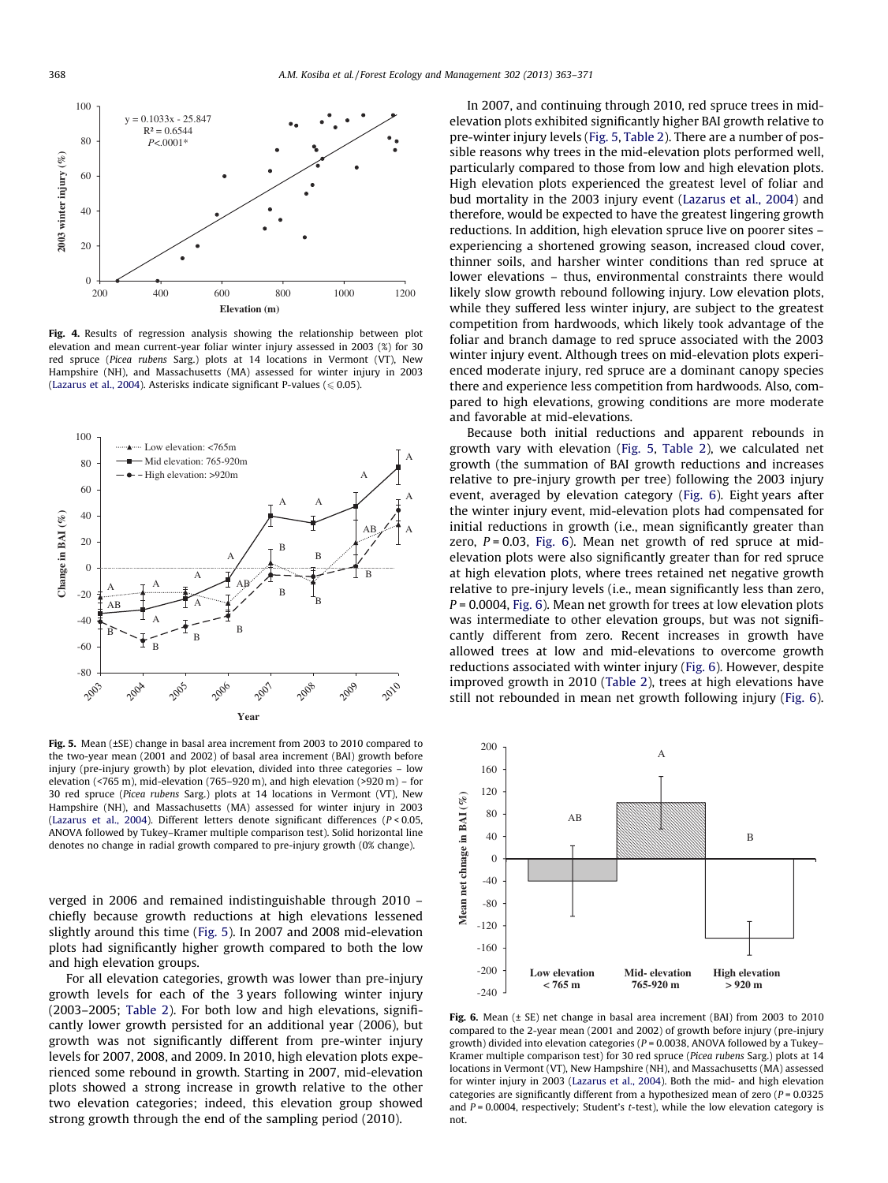<span id="page-5-0"></span>

Fig. 4. Results of regression analysis showing the relationship between plot elevation and mean current-year foliar winter injury assessed in 2003 (%) for 30 red spruce (Picea rubens Sarg.) plots at 14 locations in Vermont (VT), New Hampshire (NH), and Massachusetts (MA) assessed for winter injury in 2003 [\(Lazarus et al., 2004\)](#page-8-0). Asterisks indicate significant P-values ( $\leqslant$  0.05).



Fig. 5. Mean (±SE) change in basal area increment from 2003 to 2010 compared to the two-year mean (2001 and 2002) of basal area increment (BAI) growth before injury (pre-injury growth) by plot elevation, divided into three categories – low elevation ( $\leq$ 765 m), mid-elevation (765–920 m), and high elevation ( $\geq$ 920 m) – for 30 red spruce (Picea rubens Sarg.) plots at 14 locations in Vermont (VT), New Hampshire (NH), and Massachusetts (MA) assessed for winter injury in 2003 [\(Lazarus et al., 2004\)](#page-8-0). Different letters denote significant differences (P < 0.05, ANOVA followed by Tukey–Kramer multiple comparison test). Solid horizontal line denotes no change in radial growth compared to pre-injury growth (0% change).

verged in 2006 and remained indistinguishable through 2010 – chiefly because growth reductions at high elevations lessened slightly around this time (Fig. 5). In 2007 and 2008 mid-elevation plots had significantly higher growth compared to both the low and high elevation groups.

For all elevation categories, growth was lower than pre-injury growth levels for each of the 3 years following winter injury (2003–2005; [Table 2](#page-4-0)). For both low and high elevations, significantly lower growth persisted for an additional year (2006), but growth was not significantly different from pre-winter injury levels for 2007, 2008, and 2009. In 2010, high elevation plots experienced some rebound in growth. Starting in 2007, mid-elevation plots showed a strong increase in growth relative to the other two elevation categories; indeed, this elevation group showed strong growth through the end of the sampling period (2010).

In 2007, and continuing through 2010, red spruce trees in midelevation plots exhibited significantly higher BAI growth relative to pre-winter injury levels (Fig. 5, [Table 2\)](#page-4-0). There are a number of possible reasons why trees in the mid-elevation plots performed well, particularly compared to those from low and high elevation plots. High elevation plots experienced the greatest level of foliar and bud mortality in the 2003 injury event [\(Lazarus et al., 2004\)](#page-8-0) and therefore, would be expected to have the greatest lingering growth reductions. In addition, high elevation spruce live on poorer sites – experiencing a shortened growing season, increased cloud cover, thinner soils, and harsher winter conditions than red spruce at lower elevations – thus, environmental constraints there would likely slow growth rebound following injury. Low elevation plots, while they suffered less winter injury, are subject to the greatest competition from hardwoods, which likely took advantage of the foliar and branch damage to red spruce associated with the 2003 winter injury event. Although trees on mid-elevation plots experienced moderate injury, red spruce are a dominant canopy species there and experience less competition from hardwoods. Also, compared to high elevations, growing conditions are more moderate and favorable at mid-elevations.

Because both initial reductions and apparent rebounds in growth vary with elevation (Fig. 5, [Table 2\)](#page-4-0), we calculated net growth (the summation of BAI growth reductions and increases relative to pre-injury growth per tree) following the 2003 injury event, averaged by elevation category (Fig. 6). Eight years after the winter injury event, mid-elevation plots had compensated for initial reductions in growth (i.e., mean significantly greater than zero,  $P = 0.03$ , Fig. 6). Mean net growth of red spruce at midelevation plots were also significantly greater than for red spruce at high elevation plots, where trees retained net negative growth relative to pre-injury levels (i.e., mean significantly less than zero,  $P = 0.0004$ , Fig. 6). Mean net growth for trees at low elevation plots was intermediate to other elevation groups, but was not significantly different from zero. Recent increases in growth have allowed trees at low and mid-elevations to overcome growth reductions associated with winter injury (Fig. 6). However, despite improved growth in 2010 [\(Table 2](#page-4-0)), trees at high elevations have still not rebounded in mean net growth following injury (Fig. 6).



Fig. 6. Mean (± SE) net change in basal area increment (BAI) from 2003 to 2010 compared to the 2-year mean (2001 and 2002) of growth before injury (pre-injury growth) divided into elevation categories ( $P = 0.0038$ , ANOVA followed by a Tukey-Kramer multiple comparison test) for 30 red spruce (Picea rubens Sarg.) plots at 14 locations in Vermont (VT), New Hampshire (NH), and Massachusetts (MA) assessed for winter injury in 2003 ([Lazarus et al., 2004](#page-8-0)). Both the mid- and high elevation categories are significantly different from a hypothesized mean of zero ( $P = 0.0325$ and  $P = 0.0004$ , respectively; Student's t-test), while the low elevation category is not.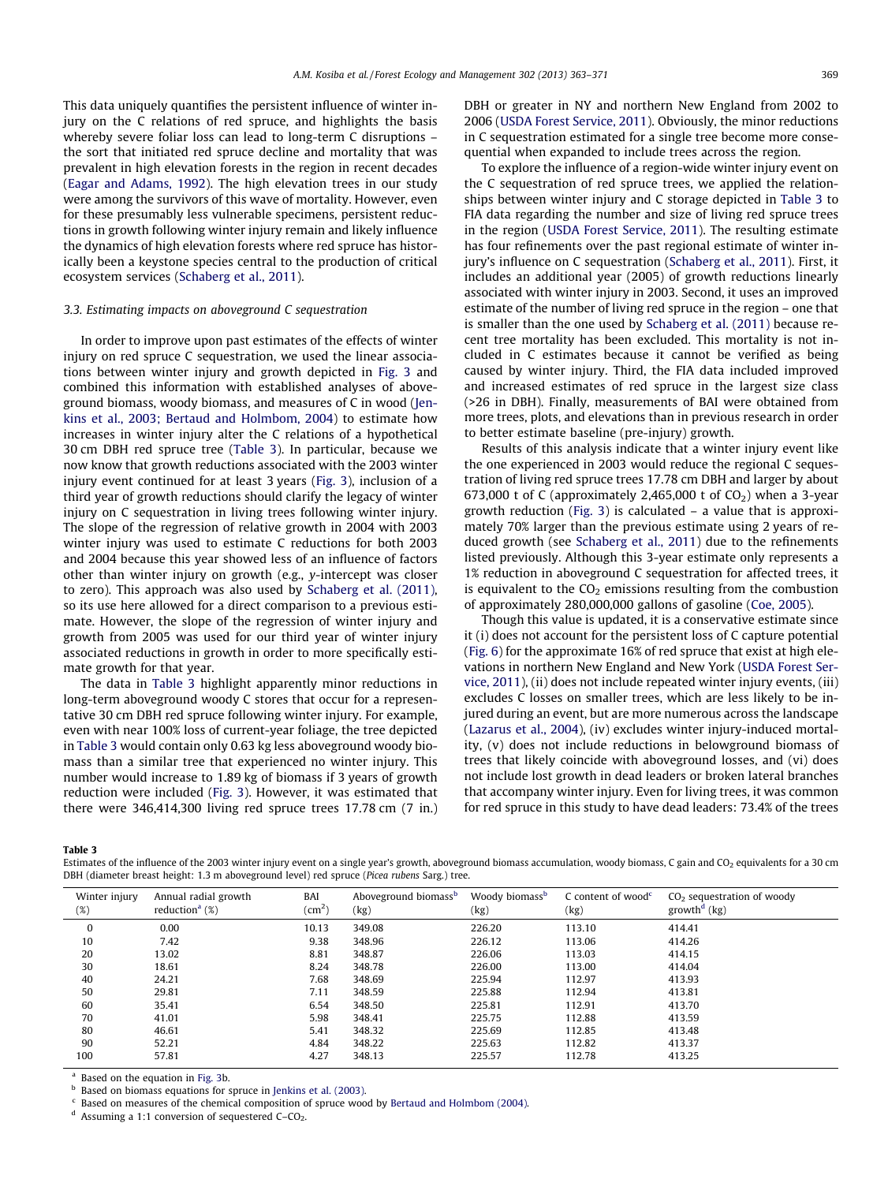<span id="page-6-0"></span>This data uniquely quantifies the persistent influence of winter injury on the C relations of red spruce, and highlights the basis whereby severe foliar loss can lead to long-term C disruptions – the sort that initiated red spruce decline and mortality that was prevalent in high elevation forests in the region in recent decades ([Eagar and Adams, 1992](#page-8-0)). The high elevation trees in our study were among the survivors of this wave of mortality. However, even for these presumably less vulnerable specimens, persistent reductions in growth following winter injury remain and likely influence the dynamics of high elevation forests where red spruce has historically been a keystone species central to the production of critical ecosystem services [\(Schaberg et al., 2011](#page-8-0)).

### 3.3. Estimating impacts on aboveground C sequestration

In order to improve upon past estimates of the effects of winter injury on red spruce C sequestration, we used the linear associations between winter injury and growth depicted in [Fig. 3](#page-4-0) and combined this information with established analyses of aboveground biomass, woody biomass, and measures of C in wood ([Jen](#page-8-0)[kins et al., 2003; Bertaud and Holmbom, 2004\)](#page-8-0) to estimate how increases in winter injury alter the C relations of a hypothetical 30 cm DBH red spruce tree (Table 3). In particular, because we now know that growth reductions associated with the 2003 winter injury event continued for at least 3 years [\(Fig. 3](#page-4-0)), inclusion of a third year of growth reductions should clarify the legacy of winter injury on C sequestration in living trees following winter injury. The slope of the regression of relative growth in 2004 with 2003 winter injury was used to estimate C reductions for both 2003 and 2004 because this year showed less of an influence of factors other than winter injury on growth (e.g., y-intercept was closer to zero). This approach was also used by [Schaberg et al. \(2011\),](#page-8-0) so its use here allowed for a direct comparison to a previous estimate. However, the slope of the regression of winter injury and growth from 2005 was used for our third year of winter injury associated reductions in growth in order to more specifically estimate growth for that year.

The data in Table 3 highlight apparently minor reductions in long-term aboveground woody C stores that occur for a representative 30 cm DBH red spruce following winter injury. For example, even with near 100% loss of current-year foliage, the tree depicted in Table 3 would contain only 0.63 kg less aboveground woody biomass than a similar tree that experienced no winter injury. This number would increase to 1.89 kg of biomass if 3 years of growth reduction were included ([Fig. 3\)](#page-4-0). However, it was estimated that there were 346,414,300 living red spruce trees 17.78 cm (7 in.) DBH or greater in NY and northern New England from 2002 to 2006 ([USDA Forest Service, 2011](#page-8-0)). Obviously, the minor reductions in C sequestration estimated for a single tree become more consequential when expanded to include trees across the region.

To explore the influence of a region-wide winter injury event on the C sequestration of red spruce trees, we applied the relationships between winter injury and C storage depicted in Table 3 to FIA data regarding the number and size of living red spruce trees in the region [\(USDA Forest Service, 2011\)](#page-8-0). The resulting estimate has four refinements over the past regional estimate of winter injury's influence on C sequestration [\(Schaberg et al., 2011](#page-8-0)). First, it includes an additional year (2005) of growth reductions linearly associated with winter injury in 2003. Second, it uses an improved estimate of the number of living red spruce in the region – one that is smaller than the one used by [Schaberg et al. \(2011\)](#page-8-0) because recent tree mortality has been excluded. This mortality is not included in C estimates because it cannot be verified as being caused by winter injury. Third, the FIA data included improved and increased estimates of red spruce in the largest size class (>26 in DBH). Finally, measurements of BAI were obtained from more trees, plots, and elevations than in previous research in order to better estimate baseline (pre-injury) growth.

Results of this analysis indicate that a winter injury event like the one experienced in 2003 would reduce the regional C sequestration of living red spruce trees 17.78 cm DBH and larger by about 673,000 t of C (approximately 2,465,000 t of  $CO<sub>2</sub>$ ) when a 3-year growth reduction ([Fig. 3\)](#page-4-0) is calculated – a value that is approximately 70% larger than the previous estimate using 2 years of reduced growth (see [Schaberg et al., 2011](#page-8-0)) due to the refinements listed previously. Although this 3-year estimate only represents a 1% reduction in aboveground C sequestration for affected trees, it is equivalent to the  $CO<sub>2</sub>$  emissions resulting from the combustion of approximately 280,000,000 gallons of gasoline [\(Coe, 2005](#page-7-0)).

Though this value is updated, it is a conservative estimate since it (i) does not account for the persistent loss of C capture potential ([Fig. 6](#page-5-0)) for the approximate 16% of red spruce that exist at high elevations in northern New England and New York [\(USDA Forest Ser](#page-8-0)[vice, 2011\)](#page-8-0), (ii) does not include repeated winter injury events, (iii) excludes C losses on smaller trees, which are less likely to be injured during an event, but are more numerous across the landscape ([Lazarus et al., 2004](#page-8-0)), (iv) excludes winter injury-induced mortality, (v) does not include reductions in belowground biomass of trees that likely coincide with aboveground losses, and (vi) does not include lost growth in dead leaders or broken lateral branches that accompany winter injury. Even for living trees, it was common for red spruce in this study to have dead leaders: 73.4% of the trees

Table 3

Estimates of the influence of the 2003 winter injury event on a single year's growth, aboveground biomass accumulation, woody biomass, C gain and CO<sub>2</sub> equivalents for a 30 cm DBH (diameter breast height: 1.3 m aboveground level) red spruce (Picea rubens Sarg.) tree.

| Winter injury<br>(%) | Annual radial growth<br>reduction <sup>a</sup> $(\%)$ | BAI<br>$\rm (cm^2)$ | Aboveground biomass <sup>b</sup><br>(kg) | Woody biomass <sup>b</sup><br>(kg) | C content of wood <sup><math>c</math></sup><br>(kg) | $CO2$ sequestration of woody<br>growth <sup>d</sup> (kg) |
|----------------------|-------------------------------------------------------|---------------------|------------------------------------------|------------------------------------|-----------------------------------------------------|----------------------------------------------------------|
| $\mathbf{0}$         | 0.00                                                  | 10.13               | 349.08                                   | 226.20                             | 113.10                                              | 414.41                                                   |
| 10                   | 7.42                                                  | 9.38                | 348.96                                   | 226.12                             | 113.06                                              | 414.26                                                   |
| 20                   | 13.02                                                 | 8.81                | 348.87                                   | 226.06                             | 113.03                                              | 414.15                                                   |
| 30                   | 18.61                                                 | 8.24                | 348.78                                   | 226.00                             | 113.00                                              | 414.04                                                   |
| 40                   | 24.21                                                 | 7.68                | 348.69                                   | 225.94                             | 112.97                                              | 413.93                                                   |
| 50                   | 29.81                                                 | 7.11                | 348.59                                   | 225.88                             | 112.94                                              | 413.81                                                   |
| 60                   | 35.41                                                 | 6.54                | 348.50                                   | 225.81                             | 112.91                                              | 413.70                                                   |
| 70                   | 41.01                                                 | 5.98                | 348.41                                   | 225.75                             | 112.88                                              | 413.59                                                   |
| 80                   | 46.61                                                 | 5.41                | 348.32                                   | 225.69                             | 112.85                                              | 413.48                                                   |
| 90                   | 52.21                                                 | 4.84                | 348.22                                   | 225.63                             | 112.82                                              | 413.37                                                   |
| 100                  | 57.81                                                 | 4.27                | 348.13                                   | 225.57                             | 112.78                                              | 413.25                                                   |

Based on the equation in [Fig. 3](#page-4-0)b.

<sup>b</sup> Based on biomass equations for spruce in [Jenkins et al. \(2003\)](#page-8-0).

Based on measures of the chemical composition of spruce wood by [Bertaud and Holmbom \(2004\).](#page-7-0)

Assuming a 1:1 conversion of sequestered  $C$ – $CO<sub>2</sub>$ .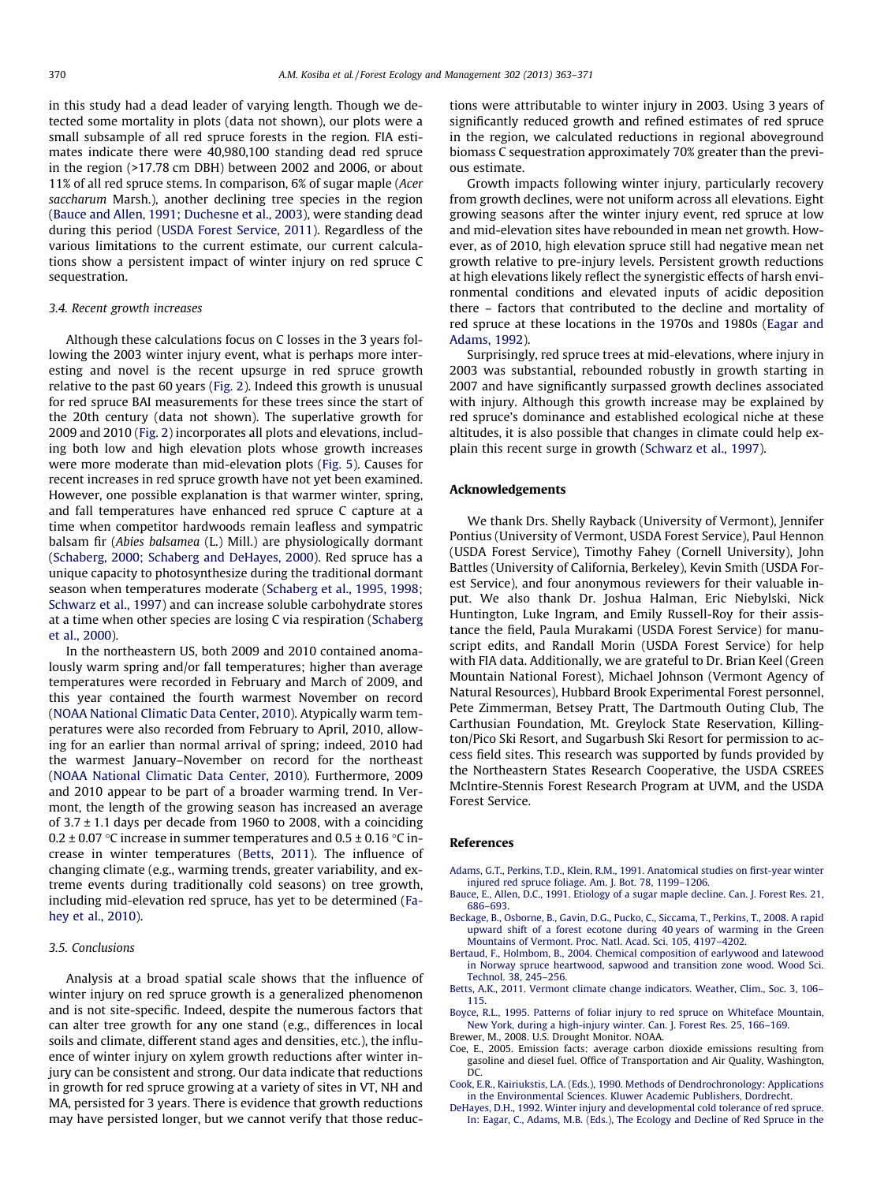<span id="page-7-0"></span>in this study had a dead leader of varying length. Though we detected some mortality in plots (data not shown), our plots were a small subsample of all red spruce forests in the region. FIA estimates indicate there were 40,980,100 standing dead red spruce in the region (>17.78 cm DBH) between 2002 and 2006, or about 11% of all red spruce stems. In comparison, 6% of sugar maple (Acer saccharum Marsh.), another declining tree species in the region (Bauce and Allen, 1991; Duchesne et al., 2003), were standing dead during this period [\(USDA Forest Service, 2011\)](#page-8-0). Regardless of the various limitations to the current estimate, our current calculations show a persistent impact of winter injury on red spruce C sequestration.

## 3.4. Recent growth increases

Although these calculations focus on C losses in the 3 years following the 2003 winter injury event, what is perhaps more interesting and novel is the recent upsurge in red spruce growth relative to the past 60 years [\(Fig. 2\)](#page-2-0). Indeed this growth is unusual for red spruce BAI measurements for these trees since the start of the 20th century (data not shown). The superlative growth for 2009 and 2010 [\(Fig. 2](#page-2-0)) incorporates all plots and elevations, including both low and high elevation plots whose growth increases were more moderate than mid-elevation plots [\(Fig. 5\)](#page-5-0). Causes for recent increases in red spruce growth have not yet been examined. However, one possible explanation is that warmer winter, spring, and fall temperatures have enhanced red spruce C capture at a time when competitor hardwoods remain leafless and sympatric balsam fir (Abies balsamea (L.) Mill.) are physiologically dormant ([Schaberg, 2000; Schaberg and DeHayes, 2000](#page-8-0)). Red spruce has a unique capacity to photosynthesize during the traditional dormant season when temperatures moderate [\(Schaberg et al., 1995, 1998;](#page-8-0) [Schwarz et al., 1997\)](#page-8-0) and can increase soluble carbohydrate stores at a time when other species are losing C via respiration ([Schaberg](#page-8-0) [et al., 2000\)](#page-8-0).

In the northeastern US, both 2009 and 2010 contained anomalously warm spring and/or fall temperatures; higher than average temperatures were recorded in February and March of 2009, and this year contained the fourth warmest November on record ([NOAA National Climatic Data Center, 2010\)](#page-8-0). Atypically warm temperatures were also recorded from February to April, 2010, allowing for an earlier than normal arrival of spring; indeed, 2010 had the warmest January–November on record for the northeast ([NOAA National Climatic Data Center, 2010\)](#page-8-0). Furthermore, 2009 and 2010 appear to be part of a broader warming trend. In Vermont, the length of the growing season has increased an average of  $3.7 \pm 1.1$  days per decade from 1960 to 2008, with a coinciding 0.2  $\pm$  0.07 °C increase in summer temperatures and 0.5  $\pm$  0.16 °C increase in winter temperatures (Betts, 2011). The influence of changing climate (e.g., warming trends, greater variability, and extreme events during traditionally cold seasons) on tree growth, including mid-elevation red spruce, has yet to be determined [\(Fa](#page-8-0)[hey et al., 2010](#page-8-0)).

## 3.5. Conclusions

Analysis at a broad spatial scale shows that the influence of winter injury on red spruce growth is a generalized phenomenon and is not site-specific. Indeed, despite the numerous factors that can alter tree growth for any one stand (e.g., differences in local soils and climate, different stand ages and densities, etc.), the influence of winter injury on xylem growth reductions after winter injury can be consistent and strong. Our data indicate that reductions in growth for red spruce growing at a variety of sites in VT, NH and MA, persisted for 3 years. There is evidence that growth reductions may have persisted longer, but we cannot verify that those reductions were attributable to winter injury in 2003. Using 3 years of significantly reduced growth and refined estimates of red spruce in the region, we calculated reductions in regional aboveground biomass C sequestration approximately 70% greater than the previous estimate.

Growth impacts following winter injury, particularly recovery from growth declines, were not uniform across all elevations. Eight growing seasons after the winter injury event, red spruce at low and mid-elevation sites have rebounded in mean net growth. However, as of 2010, high elevation spruce still had negative mean net growth relative to pre-injury levels. Persistent growth reductions at high elevations likely reflect the synergistic effects of harsh environmental conditions and elevated inputs of acidic deposition there – factors that contributed to the decline and mortality of red spruce at these locations in the 1970s and 1980s ([Eagar and](#page-8-0) [Adams, 1992\)](#page-8-0).

Surprisingly, red spruce trees at mid-elevations, where injury in 2003 was substantial, rebounded robustly in growth starting in 2007 and have significantly surpassed growth declines associated with injury. Although this growth increase may be explained by red spruce's dominance and established ecological niche at these altitudes, it is also possible that changes in climate could help explain this recent surge in growth ([Schwarz et al., 1997](#page-8-0)).

## Acknowledgements

We thank Drs. Shelly Rayback (University of Vermont), Jennifer Pontius (University of Vermont, USDA Forest Service), Paul Hennon (USDA Forest Service), Timothy Fahey (Cornell University), John Battles (University of California, Berkeley), Kevin Smith (USDA Forest Service), and four anonymous reviewers for their valuable input. We also thank Dr. Joshua Halman, Eric Niebylski, Nick Huntington, Luke Ingram, and Emily Russell-Roy for their assistance the field, Paula Murakami (USDA Forest Service) for manuscript edits, and Randall Morin (USDA Forest Service) for help with FIA data. Additionally, we are grateful to Dr. Brian Keel (Green Mountain National Forest), Michael Johnson (Vermont Agency of Natural Resources), Hubbard Brook Experimental Forest personnel, Pete Zimmerman, Betsey Pratt, The Dartmouth Outing Club, The Carthusian Foundation, Mt. Greylock State Reservation, Killington/Pico Ski Resort, and Sugarbush Ski Resort for permission to access field sites. This research was supported by funds provided by the Northeastern States Research Cooperative, the USDA CSREES McIntire-Stennis Forest Research Program at UVM, and the USDA Forest Service.

#### References

- [Adams, G.T., Perkins, T.D., Klein, R.M., 1991. Anatomical studies on first-year winter](http://refhub.elsevier.com/S0378-1127(13)00144-8/h0005) [injured red spruce foliage. Am. J. Bot. 78, 1199–1206.](http://refhub.elsevier.com/S0378-1127(13)00144-8/h0005)
- [Bauce, E., Allen, D.C., 1991. Etiology of a sugar maple decline. Can. J. Forest Res. 21,](http://refhub.elsevier.com/S0378-1127(13)00144-8/h0010) [686–693](http://refhub.elsevier.com/S0378-1127(13)00144-8/h0010).
- [Beckage, B., Osborne, B., Gavin, D.G., Pucko, C., Siccama, T., Perkins, T., 2008. A rapid](http://refhub.elsevier.com/S0378-1127(13)00144-8/h0015) [upward shift of a forest ecotone during 40 years of warming in the Green](http://refhub.elsevier.com/S0378-1127(13)00144-8/h0015) [Mountains of Vermont. Proc. Natl. Acad. Sci. 105, 4197–4202.](http://refhub.elsevier.com/S0378-1127(13)00144-8/h0015)
- [Bertaud, F., Holmbom, B., 2004. Chemical composition of earlywood and latewood](http://refhub.elsevier.com/S0378-1127(13)00144-8/h0020) [in Norway spruce heartwood, sapwood and transition zone wood. Wood Sci.](http://refhub.elsevier.com/S0378-1127(13)00144-8/h0020) [Technol. 38, 245–256](http://refhub.elsevier.com/S0378-1127(13)00144-8/h0020).
- [Betts, A.K., 2011. Vermont climate change indicators. Weather, Clim., Soc. 3, 106–](http://refhub.elsevier.com/S0378-1127(13)00144-8/h0025) [115](http://refhub.elsevier.com/S0378-1127(13)00144-8/h0025).
- [Boyce, R.L., 1995. Patterns of foliar injury to red spruce on Whiteface Mountain,](http://refhub.elsevier.com/S0378-1127(13)00144-8/h0030) [New York, during a high-injury winter. Can. J. Forest Res. 25, 166–169](http://refhub.elsevier.com/S0378-1127(13)00144-8/h0030). Brewer, M., 2008. U.S. Drought Monitor. NOAA.
- Coe, E., 2005. Emission facts: average carbon dioxide emissions resulting from gasoline and diesel fuel. Office of Transportation and Air Quality, Washington, DC.
- [Cook, E.R., Kairiukstis, L.A. \(Eds.\), 1990. Methods of Dendrochronology: Applications](http://refhub.elsevier.com/S0378-1127(13)00144-8/h0035) [in the Environmental Sciences. Kluwer Academic Publishers, Dordrecht](http://refhub.elsevier.com/S0378-1127(13)00144-8/h0035).
- [DeHayes, D.H., 1992. Winter injury and developmental cold tolerance of red spruce.](http://refhub.elsevier.com/S0378-1127(13)00144-8/h0040) [In: Eagar, C., Adams, M.B. \(Eds.\), The Ecology and Decline of Red Spruce in the](http://refhub.elsevier.com/S0378-1127(13)00144-8/h0040)